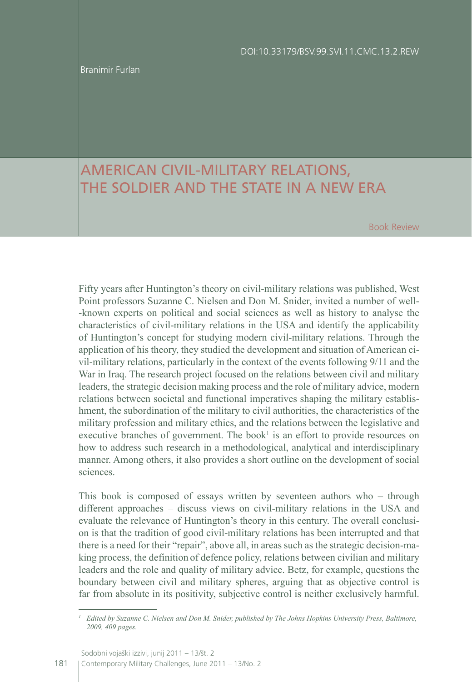Branimir Furlan

## AMERICAN CIVIL-MILITARY RELATIONS, THE SOLDIER AND THE STATE IN A NEW ERA

Book Review

Fifty years after Huntington's theory on civil-military relations was published, West Point professors Suzanne C. Nielsen and Don M. Snider, invited a number of well- -known experts on political and social sciences as well as history to analyse the characteristics of civil-military relations in the USA and identify the applicability of Huntington's concept for studying modern civil-military relations. Through the application of his theory, they studied the development and situation of American civil-military relations, particularly in the context of the events following 9/11 and the War in Iraq. The research project focused on the relations between civil and military leaders, the strategic decision making process and the role of military advice, modern relations between societal and functional imperatives shaping the military establishment, the subordination of the military to civil authorities, the characteristics of the military profession and military ethics, and the relations between the legislative and executive branches of government. The book<sup>1</sup> is an effort to provide resources on how to address such research in a methodological, analytical and interdisciplinary manner. Among others, it also provides a short outline on the development of social sciences.

This book is composed of essays written by seventeen authors who – through different approaches – discuss views on civil-military relations in the USA and evaluate the relevance of Huntington's theory in this century. The overall conclusion is that the tradition of good civil-military relations has been interrupted and that there is a need for their "repair", above all, in areas such as the strategic decision-making process, the definition of defence policy, relations between civilian and military leaders and the role and quality of military advice. Betz, for example, questions the boundary between civil and military spheres, arguing that as objective control is far from absolute in its positivity, subjective control is neither exclusively harmful.

Sodobni vojaški izzivi, junij 2011 - 13/št. 2

181 Contemporary Military Challenges, June 2011 - 13/No. 2

*<sup>1</sup> Edited by Suzanne C. Nielsen and Don M. Snider, published by The Johns Hopkins University Press, Baltimore, 2009, 409 pages.*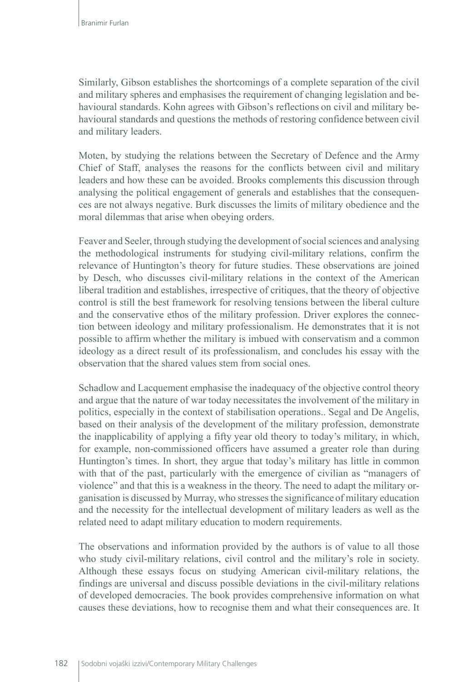Similarly, Gibson establishes the shortcomings of a complete separation of the civil and military spheres and emphasises the requirement of changing legislation and behavioural standards. Kohn agrees with Gibson's reflections on civil and military behavioural standards and questions the methods of restoring confidence between civil and military leaders.

Moten, by studying the relations between the Secretary of Defence and the Army Chief of Staff, analyses the reasons for the conflicts between civil and military leaders and how these can be avoided. Brooks complements this discussion through analysing the political engagement of generals and establishes that the consequences are not always negative. Burk discusses the limits of military obedience and the moral dilemmas that arise when obeying orders.

Feaver and Seeler, through studying the development of social sciences and analysing the methodological instruments for studying civil-military relations, confirm the relevance of Huntington's theory for future studies. These observations are joined by Desch, who discusses civil-military relations in the context of the American liberal tradition and establishes, irrespective of critiques, that the theory of objective control is still the best framework for resolving tensions between the liberal culture and the conservative ethos of the military profession. Driver explores the connection between ideology and military professionalism. He demonstrates that it is not possible to affirm whether the military is imbued with conservatism and a common ideology as a direct result of its professionalism, and concludes his essay with the observation that the shared values stem from social ones.

Schadlow and Lacquement emphasise the inadequacy of the objective control theory and argue that the nature of war today necessitates the involvement of the military in politics, especially in the context of stabilisation operations.. Segal and De Angelis, based on their analysis of the development of the military profession, demonstrate the inapplicability of applying a fifty year old theory to today's military, in which, for example, non-commissioned officers have assumed a greater role than during Huntington's times. In short, they argue that today's military has little in common with that of the past, particularly with the emergence of civilian as "managers of violence" and that this is a weakness in the theory. The need to adapt the military organisation is discussed by Murray, who stresses the significance of military education and the necessity for the intellectual development of military leaders as well as the related need to adapt military education to modern requirements.

The observations and information provided by the authors is of value to all those who study civil-military relations, civil control and the military's role in society. Although these essays focus on studying American civil-military relations, the findings are universal and discuss possible deviations in the civil-military relations of developed democracies. The book provides comprehensive information on what causes these deviations, how to recognise them and what their consequences are. It